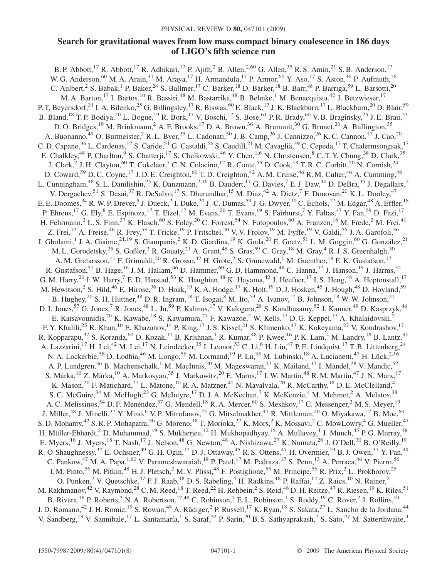## Search for gravitational waves from low mass compact binary coalescence in 186 days of LIGO's fifth science run

B. P. Abbott,<sup>17</sup> R. Abbott,<sup>17</sup> R. Adhikari,<sup>17</sup> P. Ajith,<sup>2</sup> B. Allen,<sup>2,60</sup> G. Allen,<sup>35</sup> R. S. Amin,<sup>21</sup> S. B. Anderson,<sup>17</sup> W. G. Anderson, <sup>60</sup> M. A. Arain, <sup>47</sup> M. Araya, <sup>17</sup> H. Armandula, <sup>17</sup> P. Armor, <sup>60</sup> Y. Aso, <sup>17</sup> S. Aston, <sup>46</sup> P. Aufmuth, <sup>16</sup> C. Aulbert, <sup>2</sup> S. Babak,<sup>1</sup> P. Baker, <sup>24</sup> S. Ballmer, <sup>17</sup> C. Barker, <sup>18</sup> D. Barker, <sup>18</sup> B. Barr, <sup>48</sup> P. Barriga, <sup>59</sup> L. Barsotti, <sup>20</sup> M. A. Barton, <sup>17</sup> I. Bartos, <sup>10</sup> R. Bassiri, <sup>48</sup> M. Bastarrika, <sup>48</sup> B. Behnke, <sup>1</sup> M. Benacquista, <sup>42</sup> J. Betzwieser, <sup>17</sup> P. T. Beyersdorf,<sup>31</sup> I. A. Bilenko,<sup>25</sup> G. Billingsley,<sup>17</sup> R. Biswas,<sup>60</sup> E. Black,<sup>17</sup> J. K. Blackburn,<sup>17</sup> L. Blackburn,<sup>20</sup> D. Blair,<sup>59</sup> B. Bland, <sup>18</sup> T. P. Bodiya, <sup>20</sup> L. Bogue, <sup>19</sup> R. Bork, <sup>17</sup> V. Boschi, <sup>17</sup> S. Bose, <sup>61</sup> P. R. Brady, <sup>60</sup> V. B. Braginsky, <sup>25</sup> J. E. Brau, <sup>53</sup> D. O. Bridges,<sup>19</sup> M. Brinkmann,<sup>2</sup> A. F. Brooks,<sup>17</sup> D. A. Brown,<sup>36</sup> A. Brummit,<sup>30</sup> G. Brunet,<sup>20</sup> A. Bullington,<sup>35</sup> A. Buonanno,<sup>49</sup> O. Burmeister,<sup>2</sup> R. L. Byer,<sup>35</sup> L. Cadonati,<sup>50</sup> J. B. Camp,<sup>26</sup> J. Cannizzo,<sup>26</sup> K. C. Cannon,<sup>17</sup> J. Cao,<sup>20</sup> C. D. Capano,<sup>36</sup> L. Cardenas,<sup>17</sup> S. Caride,<sup>51</sup> G. Castaldi,<sup>56</sup> S. Caudill,<sup>21</sup> M. Cavaglià,<sup>39</sup> C. Cepeda,<sup>17</sup> T. Chalermsongsak,<sup>17</sup> E. Chalkley,<sup>48</sup> P. Charlton,<sup>9</sup> S. Chatterji,<sup>17</sup> S. Chelkowski,<sup>46</sup> Y. Chen,<sup>1,6</sup> N. Christensen,<sup>8</sup> C. T. Y. Chung,<sup>38</sup> D. Clark,<sup>35</sup> J. Clark,<sup>7</sup> J. H. Clayton,<sup>60</sup> T. Cokelaer,<sup>7</sup> C. N. Colacino,<sup>12</sup> R. Conte,<sup>55</sup> D. Cook,<sup>18</sup> T. R. C. Corbitt,<sup>20</sup> N. Cornish,<sup>24</sup> D. Coward,<sup>59</sup> D. C. Coyne,<sup>17</sup> J. D. E. Creighton,<sup>60</sup> T. D. Creighton,<sup>42</sup> A. M. Cruise,<sup>46</sup> R. M. Culter,<sup>46</sup> A. Cumming,<sup>48</sup> L. Cunningham,<sup>48</sup> S. L. Danilishin,<sup>25</sup> K. Danzmann,<sup>2,16</sup> B. Daudert,<sup>17</sup> G. Davies,<sup>7</sup> E. J. Daw,<sup>40</sup> D. DeBra,<sup>35</sup> J. Degallaix,<sup>2</sup> V. Dergachev, <sup>51</sup> S. Desai, <sup>37</sup> R. DeSalvo, <sup>17</sup> S. Dhurandhar, <sup>15</sup> M. Díaz, <sup>42</sup> A. Dietz, <sup>7</sup> F. Donovan, <sup>20</sup> K. L. Dooley, <sup>47</sup> E. E. Doomes, <sup>34</sup> R. W. P. Drever, <sup>5</sup> J. Dueck, <sup>2</sup> I. Duke, <sup>20</sup> J.-C. Dumas, <sup>59</sup> J. G. Dwyer, <sup>10</sup> C. Echols, <sup>17</sup> M. Edgar, <sup>48</sup> A. Effler, <sup>18</sup> P. Ehrens,<sup>17</sup> G. Ely,<sup>8</sup> E. Espinoza,<sup>17</sup> T. Etzel,<sup>17</sup> M. Evans,<sup>20</sup> T. Evans,<sup>19</sup> S. Fairhurst,<sup>7</sup> Y. Faltas,<sup>47</sup> Y. Fan,<sup>59</sup> D. Fazi,<sup>17</sup> H. Fehrmann,<sup>2</sup> L. S. Finn,<sup>37</sup> K. Flasch,<sup>60</sup> S. Foley,<sup>20</sup> C. Forrest,<sup>54</sup> N. Fotopoulos,<sup>60</sup> A. Franzen,<sup>16</sup> M. Frede,<sup>2</sup> M. Frei,<sup>41</sup> Z. Frei,<sup>12</sup> A. Freise,<sup>46</sup> R. Frey,<sup>53</sup> T. Fricke,<sup>19</sup> P. Fritschel,<sup>20</sup> V. V. Frolov,<sup>19</sup> M. Fyffe,<sup>19</sup> V. Galdi,<sup>56</sup> J. A. Garofoli,<sup>36</sup> I. Gholami,<sup>1</sup> J. A. Giaime,<sup>21,19</sup> S. Giampanis,<sup>2</sup> K. D. Giardina,<sup>19</sup> K. Goda,<sup>20</sup> E. Goetz,<sup>51</sup> L. M. Goggin,<sup>60</sup> G. González,<sup>21</sup> M. L. Gorodetsky,<sup>25</sup> S. Goßler,<sup>2</sup> R. Gouaty,<sup>21</sup> A. Grant,<sup>48</sup> S. Gras,<sup>59</sup> C. Gray,<sup>18</sup> M. Gray,<sup>4</sup> R. J. S. Greenhalgh,<sup>30</sup> A. M. Gretarsson,<sup>11</sup> F. Grimaldi,<sup>20</sup> R. Grosso,<sup>42</sup> H. Grote,<sup>2</sup> S. Grunewald,<sup>1</sup> M. Guenther,<sup>18</sup> E. K. Gustafson,<sup>17</sup> R. Gustafson,<sup>51</sup> B. Hage,<sup>16</sup> J. M. Hallam,<sup>46</sup> D. Hammer,<sup>60</sup> G. D. Hammond,<sup>48</sup> C. Hanna,<sup>17</sup> J. Hanson,<sup>19</sup> J. Harms,<sup>52</sup> G. M. Harry,<sup>20</sup> I. W. Harry,<sup>7</sup> E. D. Harstad,<sup>53</sup> K. Haughian,<sup>48</sup> K. Hayama,<sup>42</sup> J. Heefner,<sup>17</sup> I. S. Heng,<sup>48</sup> A. Heptonstall,<sup>17</sup> M. Hewitson,<sup>2</sup> S. Hild,<sup>46</sup> E. Hirose,<sup>36</sup> D. Hoak,<sup>19</sup> K. A. Hodge,<sup>17</sup> K. Holt,<sup>19</sup> D. J. Hosken,<sup>45</sup> J. Hough,<sup>48</sup> D. Hoyland,<sup>59</sup> B. Hughey,<sup>20</sup> S. H. Huttner,<sup>48</sup> D. R. Ingram,<sup>18</sup> T. Isogai,<sup>8</sup> M. Ito,<sup>53</sup> A. Ivanov,<sup>17</sup> B. Johnson,<sup>18</sup> W. W. Johnson,<sup>21</sup> D. I. Jones,<sup>57</sup> G. Jones,<sup>7</sup> R. Jones,<sup>48</sup> L. Ju,<sup>59</sup> P. Kalmus,<sup>17</sup> V. Kalogera,<sup>28</sup> S. Kandhasamy,<sup>52</sup> J. Kanner,<sup>49</sup> D. Kasprzyk,<sup>46</sup> E. Katsavounidis,<sup>20</sup> K. Kawabe,<sup>18</sup> S. Kawamura,<sup>27</sup> F. Kawazoe,<sup>2</sup> W. Kells,<sup>17</sup> D. G. Keppel,<sup>17</sup> A. Khalaidovski,<sup>2</sup> F. Y. Khalili,<sup>25</sup> R. Khan,<sup>10</sup> E. Khazanov,<sup>14</sup> P. King,<sup>17</sup> J. S. Kissel,<sup>21</sup> S. Klimenko,<sup>47</sup> K. Kokeyama,<sup>27</sup> V. Kondrashov,<sup>17</sup> R. Kopparapu,<sup>37</sup> S. Koranda,<sup>60</sup> D. Kozak,<sup>17</sup> B. Krishnan,<sup>1</sup> R. Kumar,<sup>48</sup> P. Kwee,<sup>16</sup> P. K. Lam,<sup>4</sup> M. Landry,<sup>18</sup> B. Lantz,<sup>35</sup> A. Lazzarini,<sup>17</sup> H. Lei,<sup>42</sup> M. Lei,<sup>17</sup> N. Leindecker,<sup>35</sup> I. Leonor,<sup>53</sup> C. Li,<sup>6</sup> H. Lin,<sup>47</sup> P. E. Lindquist,<sup>17</sup> T. B. Littenberg,<sup>24</sup> N. A. Lockerbie,<sup>58</sup> D. Lodhia,<sup>46</sup> M. Longo,<sup>56</sup> M. Lormand,<sup>19</sup> P. Lu,<sup>35</sup> M. Lubinski,<sup>18</sup> A. Lucianetti,<sup>47</sup> H. Lück,<sup>2,16</sup> A. P. Lundgren,<sup>36</sup> B. Machenschalk,<sup>1</sup> M. MacInnis,<sup>20</sup> M. Mageswaran,<sup>17</sup> K. Mailand,<sup>17</sup> I. Mandel,<sup>28</sup> V. Mandic,<sup>52</sup> S. Márka,<sup>10</sup> Z. Márka,<sup>10</sup> A. Markosyan,<sup>35</sup> J. Markowitz,<sup>20</sup> E. Maros,<sup>17</sup> I. W. Martin,<sup>48</sup> R. M. Martin,<sup>47</sup> J. N. Marx,<sup>17</sup> K. Mason,<sup>20</sup> F. Matichard,<sup>21</sup> L. Matone,<sup>10</sup> R. A. Matzner,<sup>41</sup> N. Mavalvala,<sup>20</sup> R. McCarthy,<sup>18</sup> D. E. McClelland,<sup>4</sup> S. C. McGuire,<sup>34</sup> M. McHugh,<sup>23</sup> G. McIntyre,<sup>17</sup> D. J. A. McKechan,<sup>7</sup> K. McKenzie,<sup>4</sup> M. Mehmet,<sup>2</sup> A. Melatos,<sup>38</sup> A. C. Melissinos,<sup>54</sup> D. F. Menéndez,<sup>37</sup> G. Mendell,<sup>18</sup> R. A. Mercer,<sup>60</sup> S. Meshkov,<sup>17</sup> C. Messenger,<sup>2</sup> M. S. Meyer,<sup>19</sup> J. Miller,<sup>48</sup> J. Minelli,<sup>37</sup> Y. Mino,<sup>6</sup> V. P. Mitrofanov,<sup>25</sup> G. Mitselmakher,<sup>47</sup> R. Mittleman,<sup>20</sup> O. Miyakawa,<sup>17</sup> B. Moe,<sup>60</sup> S. D. Mohanty,<sup>42</sup> S. R. P. Mohapatra,<sup>50</sup> G. Moreno,<sup>18</sup> T. Morioka,<sup>27</sup> K. Mors,<sup>2</sup> K. Mossavi,<sup>2</sup> C. MowLowry,<sup>4</sup> G. Mueller,<sup>47</sup> H. Müller-Ebhardt,<sup>2</sup> D. Muhammad,<sup>19</sup> S. Mukherjee,<sup>42</sup> H. Mukhopadhyay,<sup>15</sup> A. Mullavey,<sup>4</sup> J. Munch,<sup>45</sup> P. G. Murray,<sup>48</sup> E. Myers,<sup>18</sup> J. Myers,<sup>18</sup> T. Nash,<sup>17</sup> J. Nelson,<sup>48</sup> G. Newton,<sup>48</sup> A. Nishizawa,<sup>27</sup> K. Numata,<sup>26</sup> J. O'Dell,<sup>30</sup> B. O'Reilly,<sup>19</sup> R. O'Shaughnessy,<sup>37</sup> E. Ochsner,<sup>49</sup> G. H. Ogin,<sup>17</sup> D. J. Ottaway,<sup>45</sup> R. S. Ottens,<sup>47</sup> H. Overmier,<sup>19</sup> B. J. Owen,<sup>37</sup> Y. Pan,<sup>49</sup> C. Pankow,<sup>47</sup> M. A. Papa,<sup>1,60</sup> V. Parameshwaraiah,<sup>18</sup> P. Patel,<sup>17</sup> M. Pedraza,<sup>17</sup> S. Penn,<sup>13</sup> A. Perraca,<sup>46</sup> V. Pierro,<sup>56</sup> I. M. Pinto,<sup>56</sup> M. Pitkin,<sup>48</sup> H. J. Pletsch,<sup>2</sup> M. V. Plissi,<sup>48</sup> F. Postiglione,<sup>55</sup> M. Principe,<sup>56</sup> R. Prix,<sup>2</sup> L. Prokhorov,<sup>25</sup> O. Punken,<sup>2</sup> V. Quetschke,<sup>47</sup> F. J. Raab,<sup>18</sup> D. S. Rabeling,<sup>4</sup> H. Radkins,<sup>18</sup> P. Raffai,<sup>12</sup> Z. Raics,<sup>10</sup> N. Rainer,<sup>2</sup> M. Rakhmanov,<sup>42</sup> V. Raymond,<sup>28</sup> C. M. Reed,<sup>18</sup> T. Reed,<sup>22</sup> H. Rehbein,<sup>2</sup> S. Reid,<sup>48</sup> D. H. Reitze,<sup>47</sup> R. Riesen,<sup>19</sup> K. Riles,<sup>51</sup> B. Rivera,<sup>18</sup> P. Roberts,<sup>3</sup> N. A. Robertson,<sup>17,48</sup> C. Robinson,<sup>7</sup> E. L. Robinson,<sup>1</sup> S. Roddy,<sup>19</sup> C. Röver,<sup>2</sup> J. Rollins,<sup>10</sup> J. D. Romano,<sup>42</sup> J. H. Romie,<sup>19</sup> S. Rowan,<sup>48</sup> A. Rüdiger,<sup>2</sup> P. Russell,<sup>17</sup> K. Ryan,<sup>18</sup> S. Sakata,<sup>27</sup> L. Sancho de la Jordana,<sup>44</sup> V. Sandberg,<sup>18</sup> V. Sannibale,<sup>17</sup> L. Santamaría,<sup>1</sup> S. Saraf,<sup>32</sup> P. Sarin,<sup>20</sup> B. S. Sathyaprakash,<sup>7</sup> S. Sato,<sup>27</sup> M. Satterthwaite,<sup>4</sup>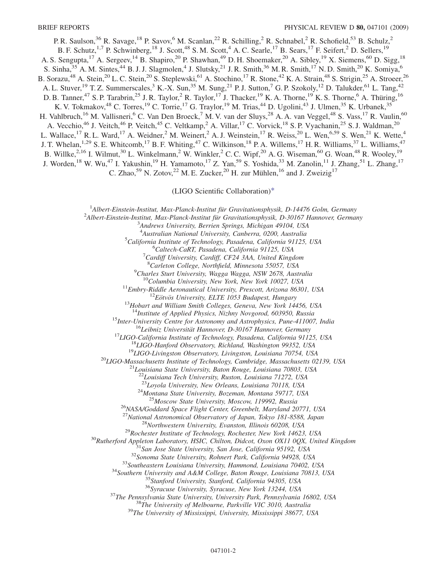P. R. Saulson,<sup>36</sup> R. Savage,<sup>18</sup> P. Savov,<sup>6</sup> M. Scanlan,<sup>22</sup> R. Schilling,<sup>2</sup> R. Schnabel,<sup>2</sup> R. Schofield,<sup>53</sup> B. Schulz,<sup>2</sup> B. F. Schutz,<sup>1,7</sup> P. Schwinberg,<sup>18</sup> J. Scott,<sup>48</sup> S. M. Scott,<sup>4</sup> A. C. Searle,<sup>17</sup> B. Sears,<sup>17</sup> F. Seifert,<sup>2</sup> D. Sellers,<sup>19</sup> A. S. Sengupta,<sup>17</sup> A. Sergeev,<sup>14</sup> B. Shapiro,<sup>20</sup> P. Shawhan,<sup>49</sup> D. H. Shoemaker,<sup>20</sup> A. Sibley,<sup>19</sup> X. Siemens,<sup>60</sup> D. Sigg,<sup>18</sup> S. Sinha,  $35$  A. M. Sintes,  $44$  B. J. J. Slagmolen,  $4$  J. Slutsky,  $21$  J. R. Smith,  $36$  M. R. Smith,  $17$  N. D. Smith,  $20$  K. Somiya,  $6$ B. Sorazu,<sup>48</sup> A. Stein,<sup>20</sup> L. C. Stein,<sup>20</sup> S. Steplewski,<sup>61</sup> A. Stochino,<sup>17</sup> R. Stone,<sup>42</sup> K. A. Strain,<sup>48</sup> S. Strigin,<sup>25</sup> A. Stroeer,<sup>26</sup> A. L. Stuver,<sup>19</sup> T. Z. Summerscales,<sup>3</sup> K.-X. Sun,<sup>35</sup> M. Sung,<sup>21</sup> P. J. Sutton,<sup>7</sup> G. P. Szokoly,<sup>12</sup> D. Talukder,<sup>61</sup> L. Tang,<sup>42</sup> D. B. Tanner,<sup>47</sup> S. P. Tarabrin,<sup>25</sup> J. R. Taylor,<sup>2</sup> R. Taylor,<sup>17</sup> J. Thacker,<sup>19</sup> K. A. Thorne,<sup>19</sup> K. S. Thorne,<sup>6</sup> A. Thüring,<sup>16</sup> K. V. Tokmakov, <sup>48</sup> C. Torres, <sup>19</sup> C. Torrie, <sup>17</sup> G. Traylor, <sup>19</sup> M. Trias, <sup>44</sup> D. Ugolini, <sup>43</sup> J. Ulmen, <sup>35</sup> K. Urbanek, <sup>35</sup> H. Vahlbruch,<sup>16</sup> M. Vallisneri,<sup>6</sup> C. Van Den Broeck,<sup>7</sup> M. V. van der Sluys,<sup>28</sup> A. A. van Veggel,<sup>48</sup> S. Vass,<sup>17</sup> R. Vaulin,<sup>60</sup> A. Vecchio,<sup>46</sup> J. Veitch,<sup>46</sup> P. Veitch,<sup>45</sup> C. Veltkamp,<sup>2</sup> A. Villar,<sup>17</sup> C. Vorvick,<sup>18</sup> S. P. Vyachanin,<sup>25</sup> S. J. Waldman,<sup>20</sup> L. Wallace, <sup>17</sup> R. L. Ward, <sup>17</sup> A. Weidner, 2<sup>2</sup> M. Weinert, 2<sup>2</sup> A. J. Weinstein, <sup>17</sup> R. Weiss, <sup>20</sup> L. Wen, <sup>6,59</sup> S. Wen, <sup>21</sup> K. Wette, <sup>4</sup> J. T. Whelan,<sup>1,29</sup> S. E. Whitcomb,<sup>17</sup> B. F. Whiting,<sup>47</sup> C. Wilkinson,<sup>18</sup> P. A. Willems,<sup>17</sup> H. R. Williams,<sup>37</sup> L. Williams,<sup>47</sup> B. Willke,<sup>2,16</sup> I. Wilmut,<sup>30</sup> L. Winkelmann,<sup>2</sup> W. Winkler,<sup>2</sup> C. C. Wipf,<sup>20</sup> A. G. Wiseman,<sup>60</sup> G. Woan,<sup>48</sup> R. Wooley,<sup>19</sup> J. Worden,<sup>18</sup> W. Wu,<sup>47</sup> I. Yakushin,<sup>19</sup> H. Yamamoto,<sup>17</sup> Z. Yan,<sup>59</sup> S. Yoshida,<sup>33</sup> M. Zanolin,<sup>11</sup> J. Zhang,<sup>51</sup> L. Zhang,<sup>17</sup> C. Zhao,<sup>59</sup> N. Zotov,<sup>22</sup> M. E. Zucker,<sup>20</sup> H. zur Mühlen,<sup>16</sup> and J. Zweizig<sup>17</sup>

(LIGO Scientific Collaboration[\)\\*](#page-2-0)

<span id="page-1-0"></span><sup>1</sup> Albert-Einstein-Institut, Max-Planck-Institut für Gravitationsphysik, D-14476 Golm, Germany<br><sup>2</sup> Albert Einstein Institut, Max-Planck-Institut für Gravitationsphysik, D-20167 Hannover, Germa

 $^{2}$ Albert-Einstein-Institut, Max-Planck-Institut für Gravitationsphysik, D-30167 Hannover, Germany

<sup>3</sup>Andrews University, Berrien Springs, Michigan 49104, USA

<sup>4</sup> Australian National University, Canberra, 0200, Australia<sup>5</sup> California Institute of Technology, Basedana, California 01125

 ${}^{5}$ California Institute of Technology, Pasadena, California 91125, USA

<sup>6</sup>Caltech-CaRT, Pasadena, California 91125, USA

 $^{7}$ Cardiff University, Cardiff, CF24 3AA, United Kingdom

<sup>8</sup>Carleton College, Northfield, Minnesota 55057, USA

 $^9$ Charles Sturt University, Wagga Wagga, NSW 2678, Australia

<sup>10</sup>Columbia University, New York, New York 10027, USA<br><sup>11</sup>Embry-Riddle Aeronautical University, Prescott, Arizona 86301, USA<br><sup>12</sup>Eötvös University, ELTE 1053 Budapest, Hungary<br><sup>13</sup>Hobart and William Smith Colleges, Genev

<sup>15</sup>Inter-University Centre for Astronomy and Astrophysics, Pune-411007, India<br><sup>16</sup>Leibniz Universität Hannover, D-30167 Hannover, Germany<br><sup>17</sup>LIGO-California Institute of Technology, Pasadena, California 91125, USA<br><sup>18</sup>L

<sup>22</sup>Louisiana Tech University, Ruston, Louisiana 71272, USA<br><sup>23</sup>Loyola University, New Orleans, Louisiana 70118, USA

<sup>24</sup>Montana State University, Bozeman, Montana 59717, USA<br><sup>25</sup>Moscow State University, Moscow, 119992, Russia<br><sup>26</sup>NASA/Goddard Space Flight Center, Greenbelt, Maryland 20771, USA<br><sup>27</sup>National Astronomical Observatory of J

<sup>27</sup>National Astronomical Observatory of Japan, Tokyo 181-8588, Japan<br><sup>28</sup>Northwestern University, Evanston, Illinois 60208, USA<br><sup>29</sup>Rochester Institute of Technology, Rochester, New York 14623, USA<br><sup>30</sup>Rutherford Appleto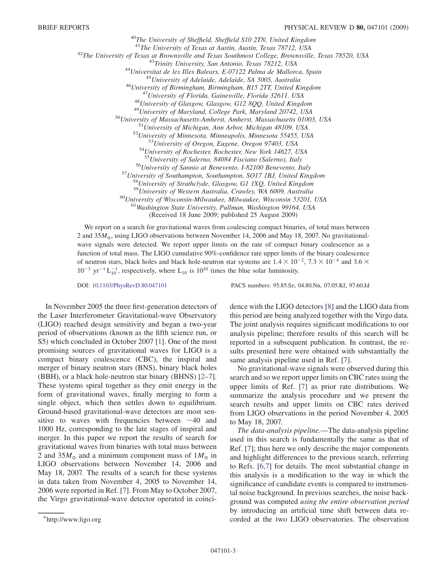<sup>40</sup>The University of Sheffield, Sheffield S10 2TN, United Kingdom<br><sup>41</sup>The University of Texas at Austin, Austin, Texas 78712, USA

<sup>41</sup>The University of Texas at Austin, Austin, Texas 78712, USA<br><sup>42</sup>The University of Texas at Brownsville and Texas Southmost College, Brownsville, Texas 78520, USA<br><sup>43</sup>Trinity University, San Antonio, Texas 78212, USA<br><sup></sup>

<sup>54</sup>University of Rochester, Rochester, New York 14627, USA<br><sup>55</sup>University of Salerno, 84084 Fisciano (Salerno), Italy<br><sup>56</sup>University of Sannio at Benevento, 1-82100 Benevento, Italy<br><sup>57</sup>University of Southampton, Southam

 $50$ University of Wisconsin-Milwaukee, Milwaukee, Wisconsin 53201, USA  $51$ Washington State University, Pullman, Washington 99164, USA

(Received 18 June 2009; published 25 August 2009)

We report on a search for gravitational waves from coalescing compact binaries, of total mass between 2 and  $35M_{\odot}$ , using LIGO observations between November 14, 2006 and May 18, 2007. No gravitationalwave signals were detected. We report upper limits on the rate of compact binary coalescence as a function of total mass. The LIGO cumulative 90%-confidence rate upper limits of the binary coalescence of neutron stars, black holes and black hole-neutron star systems are  $1.4 \times 10^{-2}$ ,  $7.3 \times 10^{-4}$  and  $3.6 \times$  $10^{-3}$  yr<sup>-1</sup> L<sub>10</sub><sup>-1</sup>, respectively, where L<sub>10</sub> is 10<sup>10</sup> times the blue solar luminosity.

DOI: [10.1103/PhysRevD.80.047101](http://dx.doi.org/10.1103/PhysRevD.80.047101) PACS numbers: 95.85.Sz, 04.80.Nn, 07.05.Kf, 97.60.Jd

In November 2005 the three first-generation detectors of the Laser Interferometer Gravitational-wave Observatory (LIGO) reached design sensitivity and began a two-year period of observations (known as the fifth science run, or S5) which concluded in October 2007 [\[1\]](#page-6-0). One of the most promising sources of gravitational waves for LIGO is a compact binary coalescence (CBC), the inspiral and merger of binary neutron stars (BNS), binary black holes (BBH), or a black hole-neutron star binary (BHNS) [\[2–](#page-6-1)[7\]](#page-6-2). These systems spiral together as they emit energy in the form of gravitational waves, finally merging to form a single object, which then settles down to equilibrium. Ground-based gravitational-wave detectors are most sensitive to waves with frequencies between  $\sim$ 40 and 1000 Hz, corresponding to the late stages of inspiral and merger. In this paper we report the results of search for gravitational waves from binaries with total mass between 2 and 35 $M_{\odot}$  and a minimum component mass of  $1M_{\odot}$  in LIGO observations between November 14, 2006 and May 18, 2007. The results of a search for these systems in data taken from November 4, 2005 to November 14, 2006 were reported in Ref. [\[7](#page-6-2)]. From May to October 2007, the Virgo gravitational-wave detector operated in coincidence with the LIGO detectors [[8\]](#page-6-3) and the LIGO data from this period are being analyzed together with the Virgo data. The joint analysis requires significant modifications to our analysis pipeline; therefore results of this search will be reported in a subsequent publication. In contrast, the results presented here were obtained with substantially the same analysis pipeline used in Ref. [[7](#page-6-2)].

No gravitational-wave signals were observed during this search and so we report upper limits on CBC rates using the upper limits of Ref. [[7\]](#page-6-2) as prior rate distributions. We summarize the analysis procedure and we present the search results and upper limits on CBC rates derived from LIGO observations in the period November 4, 2005 to May 18, 2007.

The data-analysis pipeline.—The data-analysis pipeline used in this search is fundamentally the same as that of Ref. [[7](#page-6-2)]; thus here we only describe the major components and highlight differences to the previous search, referring to Refs. [[6](#page-6-4),[7\]](#page-6-2) for details. The most substantial change in this analysis is a modification to the way in which the significance of candidate events is compared to instrumental noise background. In previous searches, the noise background was computed using the entire observation period by introducing an artificial time shift between data re- [\\*h](#page-1-0)ttp://www.ligo.org corded at the two LIGO observatories. The observation

<span id="page-2-0"></span>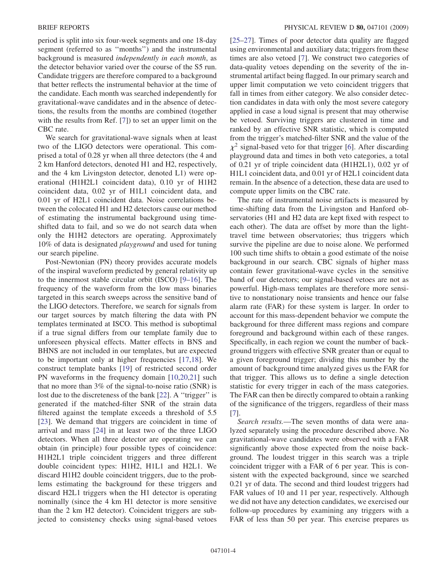period is split into six four-week segments and one 18-day segment (referred to as ''months'') and the instrumental background is measured independently in each month, as the detector behavior varied over the course of the S5 run. Candidate triggers are therefore compared to a background that better reflects the instrumental behavior at the time of the candidate. Each month was searched independently for gravitational-wave candidates and in the absence of detections, the results from the months are combined (together with the results from Ref. [\[7](#page-6-2)]) to set an upper limit on the CBC rate.

We search for gravitational-wave signals when at least two of the LIGO detectors were operational. This comprised a total of 0.28 yr when all three detectors (the 4 and 2 km Hanford detectors, denoted H1 and H2, respectively, and the 4 km Livingston detector, denoted L1) were operational (H1H2L1 coincident data), 0.10 yr of H1H2 coincident data, 0.02 yr of H1L1 coincident data, and 0.01 yr of H2L1 coincident data. Noise correlations between the colocated H1 and H2 detectors cause our method of estimating the instrumental background using timeshifted data to fail, and so we do not search data when only the H1H2 detectors are operating. Approximately 10% of data is designated playground and used for tuning our search pipeline.

Post-Newtonian (PN) theory provides accurate models of the inspiral waveform predicted by general relativity up to the innermost stable circular orbit (ISCO) [\[9](#page-6-5)–[16](#page-6-6)]. The frequency of the waveform from the low mass binaries targeted in this search sweeps across the sensitive band of the LIGO detectors. Therefore, we search for signals from our target sources by match filtering the data with PN templates terminated at ISCO. This method is suboptimal if a true signal differs from our template family due to unforeseen physical effects. Matter effects in BNS and BHNS are not included in our templates, but are expected to be important only at higher frequencies [[17](#page-6-7),[18](#page-6-8)]. We construct template banks [\[19\]](#page-6-9) of restricted second order PN waveforms in the frequency domain [[10](#page-6-10),[20](#page-6-11),[21](#page-6-12)] such that no more than 3% of the signal-to-noise ratio (SNR) is lost due to the discreteness of the bank [\[22\]](#page-6-13). A "trigger" is generated if the matched-filter SNR of the strain data filtered against the template exceeds a threshold of 5.5 [\[23\]](#page-6-14). We demand that triggers are coincident in time of arrival and mass [\[24\]](#page-6-15) in at least two of the three LIGO detectors. When all three detector are operating we can obtain (in principle) four possible types of coincidence: H1H2L1 triple coincident triggers and three different double coincident types: H1H2, H1L1 and H2L1. We discard H1H2 double coincident triggers, due to the problems estimating the background for these triggers and discard H2L1 triggers when the H1 detector is operating nominally (since the 4 km H1 detector is more sensitive than the 2 km H2 detector). Coincident triggers are subjected to consistency checks using signal-based vetoes

[\[25–](#page-6-16)[27\]](#page-6-17). Times of poor detector data quality are flagged using environmental and auxiliary data; triggers from these times are also vetoed [\[7\]](#page-6-2). We construct two categories of data-quality vetoes depending on the severity of the instrumental artifact being flagged. In our primary search and upper limit computation we veto coincident triggers that fall in times from either category. We also consider detection candidates in data with only the most severe category applied in case a loud signal is present that may otherwise be vetoed. Surviving triggers are clustered in time and ranked by an effective SNR statistic, which is computed from the trigger's matched-filter SNR and the value of the  $\chi^2$  signal-based veto for that trigger [\[6](#page-6-4)]. After discarding playground data and times in both veto categories, a total of 0.21 yr of triple coincident data (H1H2L1), 0.02 yr of H1L1 coincident data, and 0.01 yr of H2L1 coincident data remain. In the absence of a detection, these data are used to compute upper limits on the CBC rate.

The rate of instrumental noise artifacts is measured by time-shifting data from the Livingston and Hanford observatories (H1 and H2 data are kept fixed with respect to each other). The data are offset by more than the lighttravel time between observatories; thus triggers which survive the pipeline are due to noise alone. We performed 100 such time shifts to obtain a good estimate of the noise background in our search. CBC signals of higher mass contain fewer gravitational-wave cycles in the sensitive band of our detectors; our signal-based vetoes are not as powerful. High-mass templates are therefore more sensitive to nonstationary noise transients and hence our false alarm rate (FAR) for these system is larger. In order to account for this mass-dependent behavior we compute the background for three different mass regions and compare foreground and background within each of these ranges. Specifically, in each region we count the number of background triggers with effective SNR greater than or equal to a given foreground trigger; dividing this number by the amount of background time analyzed gives us the FAR for that trigger. This allows us to define a single detection statistic for every trigger in each of the mass categories. The FAR can then be directly compared to obtain a ranking of the significance of the triggers, regardless of their mass [\[7\]](#page-6-2).

Search results.—The seven months of data were analyzed separately using the procedure described above. No gravitational-wave candidates were observed with a FAR significantly above those expected from the noise background. The loudest trigger in this search was a triple coincident trigger with a FAR of 6 per year. This is consistent with the expected background, since we searched 0.21 yr of data. The second and third loudest triggers had FAR values of 10 and 11 per year, respectively. Although we did not have any detection candidates, we exercised our follow-up procedures by examining any triggers with a FAR of less than 50 per year. This exercise prepares us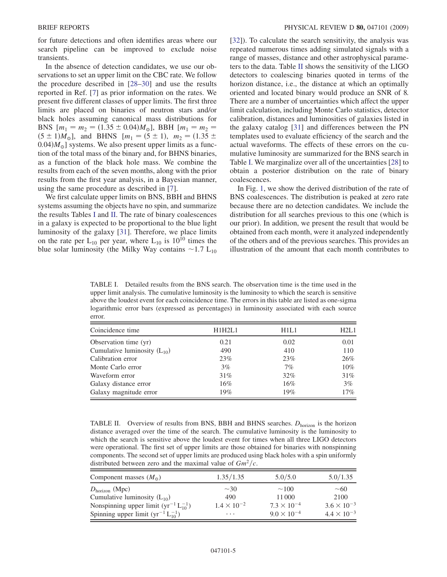for future detections and often identifies areas where our search pipeline can be improved to exclude noise transients.

In the absence of detection candidates, we use our observations to set an upper limit on the CBC rate. We follow the procedure described in [\[28–](#page-6-18)[30](#page-6-19)] and use the results reported in Ref. [\[7\]](#page-6-2) as prior information on the rates. We present five different classes of upper limits. The first three limits are placed on binaries of neutron stars and/or black holes assuming canonical mass distributions for BNS  $[m_1 = m_2 = (1.35 \pm 0.04)M_{\odot}]$ , BBH  $[m_1 = m_2 =$  $(5 \pm 1)M_{\odot}$ ], and BHNS  $[m_1 = (5 \pm 1), m_2 = (1.35 \pm 1)$  $(0.04)M_{\odot}$ ] systems. We also present upper limits as a function of the total mass of the binary and, for BHNS binaries, as a function of the black hole mass. We combine the results from each of the seven months, along with the prior results from the first year analysis, in a Bayesian manner, using the same procedure as described in [[7\]](#page-6-2).

We first calculate upper limits on BNS, BBH and BHNS systems assuming the objects have no spin, and summarize the results Tables [I](#page-4-0) and [II.](#page-4-1) The rate of binary coalescences in a galaxy is expected to be proportional to the blue light luminosity of the galaxy [[31](#page-6-20)]. Therefore, we place limits on the rate per  $L_{10}$  per year, where  $L_{10}$  is  $10^{10}$  times the blue solar luminosity (the Milky Way contains  $\sim$  1.7 L<sub>10</sub> [\[32\]](#page-7-0)). To calculate the search sensitivity, the analysis was repeated numerous times adding simulated signals with a range of masses, distance and other astrophysical parameters to the data. Table [II](#page-4-1) shows the sensitivity of the LIGO detectors to coalescing binaries quoted in terms of the horizon distance, i.e., the distance at which an optimally oriented and located binary would produce an SNR of 8. There are a number of uncertainties which affect the upper limit calculation, including Monte Carlo statistics, detector calibration, distances and luminosities of galaxies listed in the galaxy catalog [\[31\]](#page-6-20) and differences between the PN templates used to evaluate efficiency of the search and the actual waveforms. The effects of these errors on the cumulative luminosity are summarized for the BNS search in Table [I.](#page-4-0) We marginalize over all of the uncertainties [[28](#page-6-18)] to obtain a posterior distribution on the rate of binary coalescences.

In Fig. [1](#page-5-0), we show the derived distribution of the rate of BNS coalescences. The distribution is peaked at zero rate because there are no detection candidates. We include the distribution for all searches previous to this one (which is our prior). In addition, we present the result that would be obtained from each month, were it analyzed independently of the others and of the previous searches. This provides an illustration of the amount that each month contributes to

<span id="page-4-0"></span>TABLE I. Detailed results from the BNS search. The observation time is the time used in the upper limit analysis. The cumulative luminosity is the luminosity to which the search is sensitive above the loudest event for each coincidence time. The errors in this table are listed as one-sigma logarithmic error bars (expressed as percentages) in luminosity associated with each source error.

| Coincidence time                 | H1H2L1 | H1L1   | H2L1   |
|----------------------------------|--------|--------|--------|
| Observation time (yr)            | 0.21   | 0.02   | 0.01   |
| Cumulative luminosity $(L_{10})$ | 490    | 410    | 110    |
| Calibration error                | 23%    | 23%    | 26%    |
| Monte Carlo error                | $3\%$  | 7%     | $10\%$ |
| Waveform error                   | 31%    | 32%    | $31\%$ |
| Galaxy distance error            | $16\%$ | $16\%$ | $3\%$  |
| Galaxy magnitude error           | 19%    | 19%    | $17\%$ |

<span id="page-4-1"></span>TABLE II. Overview of results from BNS, BBH and BHNS searches.  $D_{\text{horizon}}$  is the horizon distance averaged over the time of the search. The cumulative luminosity is the luminosity to which the search is sensitive above the loudest event for times when all three LIGO detectors were operational. The first set of upper limits are those obtained for binaries with nonspinning components. The second set of upper limits are produced using black holes with a spin uniformly distributed between zero and the maximal value of  $Gm^2/c$ .

| Component masses $(M_0)$                                    | 1.35/1.35            | 5.0/5.0              | 5.0/1.35             |
|-------------------------------------------------------------|----------------------|----------------------|----------------------|
| $D_{\text{horizon}}$ (Mpc)                                  | $\sim$ 30            | $\sim$ 100           | $\sim\!60$           |
| Cumulative luminosity $(L_{10})$                            | 490                  | 11 000               | 2100                 |
| Nonspinning upper limit $(\text{yr}^{-1} L_{10}^{-1})$      | $1.4 \times 10^{-2}$ | $7.3 \times 10^{-4}$ | $3.6 \times 10^{-3}$ |
| Spinning upper limit $(\text{yr}^{-1} \text{ L}_{10}^{-1})$ | $\cdots$             | $9.0 \times 10^{-4}$ | $4.4 \times 10^{-3}$ |
|                                                             |                      |                      |                      |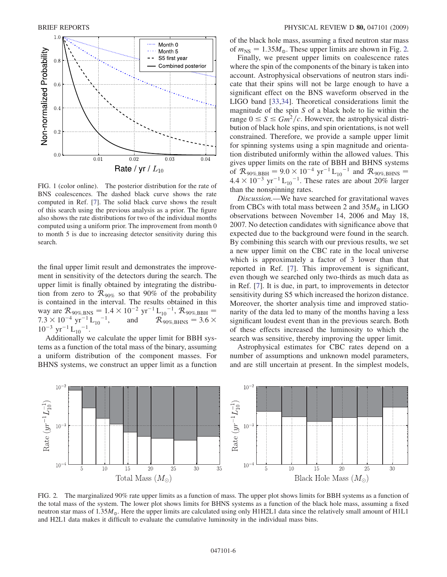<span id="page-5-0"></span>

FIG. 1 (color online). The posterior distribution for the rate of BNS coalescences. The dashed black curve shows the rate computed in Ref. [[7\]](#page-6-2). The solid black curve shows the result of this search using the previous analysis as a prior. The figure also shows the rate distributions for two of the individual months computed using a uniform prior. The improvement from month 0 to month 5 is due to increasing detector sensitivity during this search.

the final upper limit result and demonstrates the improvement in sensitivity of the detectors during the search. The upper limit is finally obtained by integrating the distribution from zero to  $\mathcal{R}_{90\%}$  so that 90% of the probability is contained in the interval. The results obtained in this way are  $R_{90\%, BNS} = 1.4 \times 10^{-2} \text{ yr}^{-1} \text{L}_{10}^{-1}$ ,  $R_{90\%, BBH}$  = 7.3 × 10<sup>-4</sup> yr<sup>-1</sup> L<sub>10</sub><sup>-1</sup>, and  $\mathcal{R}_{90\%, \text{BHNS}} = 3.6 \times 10^{-3} \text{ yr}^{-1}$  L<sub>10</sub><sup>-1</sup>.

Additionally we calculate the upper limit for BBH systems as a function of the total mass of the binary, assuming a uniform distribution of the component masses. For BHNS systems, we construct an upper limit as a function of the black hole mass, assuming a fixed neutron star mass of  $m_{\text{NS}} = 1.35 M_{\odot}$ . These upper limits are shown in Fig. [2.](#page-5-1)

Finally, we present upper limits on coalescence rates where the spin of the components of the binary is taken into account. Astrophysical observations of neutron stars indicate that their spins will not be large enough to have a significant effect on the BNS waveform observed in the LIGO band [\[33,](#page-7-1)[34\]](#page-7-2). Theoretical considerations limit the magnitude of the spin S of a black hole to lie within the range  $0 \leq S \leq Gm^2/c$ . However, the astrophysical distribution of black hole spins, and spin orientations, is not well constrained. Therefore, we provide a sample upper limit for spinning systems using a spin magnitude and orientation distributed uniformly within the allowed values. This gives upper limits on the rate of BBH and BHNS systems of  $R_{90\%,\text{BBH}} = 9.0 \times 10^{-4} \text{ yr}^{-1} \text{L}_{10}^{-1}$  and  $R_{90\%,\text{BHNS}} =$  $4.4 \times 10^{-3}$  yr<sup>-1</sup> L<sub>10</sub><sup>-1</sup>. These rates are about 20% larger than the nonspinning rates.

Discussion.—We have searched for gravitational waves from CBCs with total mass between 2 and  $35M_{\odot}$  in LIGO observations between November 14, 2006 and May 18, 2007. No detection candidates with significance above that expected due to the background were found in the search. By combining this search with our previous results, we set a new upper limit on the CBC rate in the local universe which is approximately a factor of 3 lower than that reported in Ref. [\[7](#page-6-2)]. This improvement is significant, even though we searched only two-thirds as much data as in Ref. [[7](#page-6-2)]. It is due, in part, to improvements in detector sensitivity during S5 which increased the horizon distance. Moreover, the shorter analysis time and improved stationarity of the data led to many of the months having a less significant loudest event than in the previous search. Both of these effects increased the luminosity to which the search was sensitive, thereby improving the upper limit.

Astrophysical estimates for CBC rates depend on a number of assumptions and unknown model parameters, and are still uncertain at present. In the simplest models,

<span id="page-5-1"></span>

FIG. 2. The marginalized 90% rate upper limits as a function of mass. The upper plot shows limits for BBH systems as a function of the total mass of the system. The lower plot shows limits for BHNS systems as a function of the black hole mass, assuming a fixed neutron star mass of  $1.35M_{\odot}$ . Here the upper limits are calculated using only H1H2L1 data since the relatively small amount of H1L1 and H2L1 data makes it difficult to evaluate the cumulative luminosity in the individual mass bins.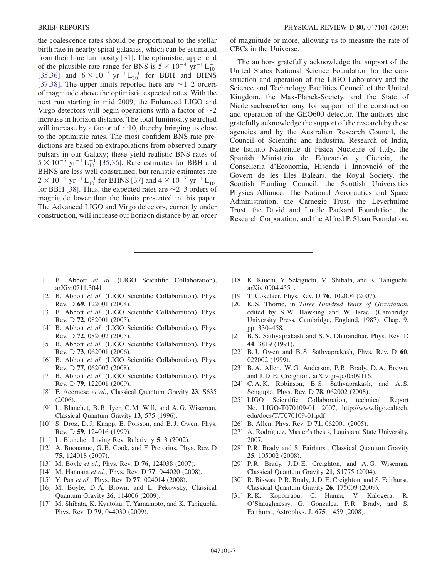the coalescence rates should be proportional to the stellar birth rate in nearby spiral galaxies, which can be estimated from their blue luminosity [\[31\]](#page-6-20). The optimistic, upper end of the plausible rate range for BNS is  $5 \times 10^{-4}$  yr<sup>-1</sup> L<sup>-1</sup><sub>10</sub> [\[35](#page-7-3)[,36\]](#page-7-4) and  $6 \times 10^{-5}$  yr<sup>-1</sup> L<sub>10</sub><sup>-1</sup> for BBH and BHNS [\[37](#page-7-5)[,38\]](#page-7-6). The upper limits reported here are  $\sim$  1–2 orders of magnitude above the optimistic expected rates. With the next run starting in mid 2009, the Enhanced LIGO and Virgo detectors will begin operations with a factor of  $\sim$ 2 increase in horizon distance. The total luminosity searched will increase by a factor of  $\sim$  10, thereby bringing us close to the optimistic rates. The most confident BNS rate predictions are based on extrapolations from observed binary pulsars in our Galaxy; these yield realistic BNS rates of  $5 \times 10^{-5}$  yr<sup>-1</sup> L<sub>10</sub><sup>-1</sup> [[35](#page-7-3),[36](#page-7-4)]. Rate estimates for BBH and BHNS are less well constrained, but realistic estimates are  $2 \times 10^{-6}$  yr<sup>-1</sup> L<sub>10</sub><sup>1</sup> for BHNS [[37](#page-7-5)] and  $4 \times 10^{-7}$  yr<sup>-1</sup> L<sub>10</sub><sup>1</sup> for BBH [\[38\]](#page-7-6). Thus, the expected rates are  $\sim$ 2–3 orders of magnitude lower than the limits presented in this paper. The Advanced LIGO and Virgo detectors, currently under construction, will increase our horizon distance by an order of magnitude or more, allowing us to measure the rate of CBCs in the Universe.

The authors gratefully acknowledge the support of the United States National Science Foundation for the construction and operation of the LIGO Laboratory and the Science and Technology Facilities Council of the United Kingdom, the Max-Planck-Society, and the State of Niedersachsen/Germany for support of the construction and operation of the GEO600 detector. The authors also gratefully acknowledge the support of the research by these agencies and by the Australian Research Council, the Council of Scientific and Industrial Research of India, the Istituto Nazionale di Fisica Nucleare of Italy, the Spanish Ministerio de Educación y Ciencia, the Conselleria d'Economia, Hisenda i Innovació of the Govern de les Illes Balears, the Royal Society, the Scottish Funding Council, the Scottish Universities Physics Alliance, The National Aeronautics and Space Administration, the Carnegie Trust, the Leverhulme Trust, the David and Lucile Packard Foundation, the Research Corporation, and the Alfred P. Sloan Foundation.

- <span id="page-6-1"></span><span id="page-6-0"></span>[1] B. Abbott et al. (LIGO Scientific Collaboration), arXiv:0711.3041.
- [2] B. Abbott et al. (LIGO Scientific Collaboration), Phys. Rev. D 69, 122001 (2004).
- [3] B. Abbott et al. (LIGO Scientific Collaboration), Phys. Rev. D 72, 082001 (2005).
- [4] B. Abbott et al. (LIGO Scientific Collaboration), Phys. Rev. D 72, 082002 (2005).
- <span id="page-6-4"></span>[5] B. Abbott et al. (LIGO Scientific Collaboration), Phys. Rev. D 73, 062001 (2006).
- <span id="page-6-2"></span>[6] B. Abbott et al. (LIGO Scientific Collaboration), Phys. Rev. D 77, 062002 (2008).
- <span id="page-6-3"></span>[7] B. Abbott et al. (LIGO Scientific Collaboration), Phys. Rev. D 79, 122001 (2009).
- <span id="page-6-5"></span>[8] F. Acernese et al., Classical Quantum Gravity 23, S635 (2006).
- <span id="page-6-10"></span>[9] L. Blanchet, B. R. Iyer, C. M. Will, and A. G. Wiseman, Classical Quantum Gravity 13, 575 (1996).
- [10] S. Droz, D. J. Knapp, E. Poisson, and B. J. Owen, Phys. Rev. D 59, 124016 (1999).
- [11] L. Blanchet, Living Rev. Relativity 5, 3 (2002).
- [12] A. Buonanno, G. B. Cook, and F. Pretorius, Phys. Rev. D 75, 124018 (2007).
- [13] M. Boyle *et al.*, Phys. Rev. D **76**, 124038 (2007).
- [14] M. Hannam et al., Phys. Rev. D 77, 044020 (2008).
- <span id="page-6-6"></span>[15] Y. Pan et al., Phys. Rev. D 77, 024014 (2008).
- <span id="page-6-7"></span>[16] M. Boyle, D.A. Brown, and L. Pekowsky, Classical Quantum Gravity 26, 114006 (2009).
- [17] M. Shibata, K. Kyutoku, T. Yamamoto, and K. Taniguchi, Phys. Rev. D 79, 044030 (2009).
- <span id="page-6-9"></span><span id="page-6-8"></span>[18] K. Kiuchi, Y. Sekiguchi, M. Shibata, and K. Taniguchi, arXiv:0904.4551.
- <span id="page-6-11"></span>[19] T. Cokelaer, Phys. Rev. D **76**, 102004 (2007).
- [20] K.S. Thorne, in Three Hundred Years of Gravitation, edited by S. W. Hawking and W. Israel (Cambridge University Press, Cambridge, England, 1987), Chap. 9, pp. 330–458.
- <span id="page-6-13"></span><span id="page-6-12"></span>[21] B. S. Sathyaprakash and S. V. Dhurandhar, Phys. Rev. D 44, 3819 (1991).
- <span id="page-6-14"></span>[22] B. J. Owen and B. S. Sathyaprakash, Phys. Rev. D 60, 022002 (1999).
- <span id="page-6-15"></span>[23] B. A. Allen, W. G. Anderson, P. R. Brady, D. A. Brown, and J. D. E. Creighton, arXiv:gr-qc/0509116.
- <span id="page-6-16"></span>[24] C.A.K. Robinson, B.S. Sathyaprakash, and A.S. Sengupta, Phys. Rev. D 78, 062002 (2008).
- [25] LIGO Scientific Collaboration, technical Report No. LIGO-T070109-01, 2007, http://www.ligo.caltech. edu/docs/T/T070109-01.pdf.
- <span id="page-6-17"></span>[26] B. Allen, Phys. Rev. D **71**, 062001 (2005).
- <span id="page-6-18"></span>[27] A. Rodríguez, Master's thesis, Louisiana State University, 2007.
- [28] P.R. Brady and S. Fairhurst, Classical Quantum Gravity 25, 105002 (2008).
- <span id="page-6-19"></span>[29] P.R. Brady, J.D.E. Creighton, and A.G. Wiseman, Classical Quantum Gravity 21, S1775 (2004).
- <span id="page-6-20"></span>[30] R. Biswas, P. R. Brady, J. D. E. Creighton, and S. Fairhurst, Classical Quantum Gravity 26, 175009 (2009).
- [31] R. K. Kopparapu, C. Hanna, V. Kalogera, R. O'Shaughnessy, G. Gonzalez, P.R. Brady, and S. Fairhurst, Astrophys. J. 675, 1459 (2008).